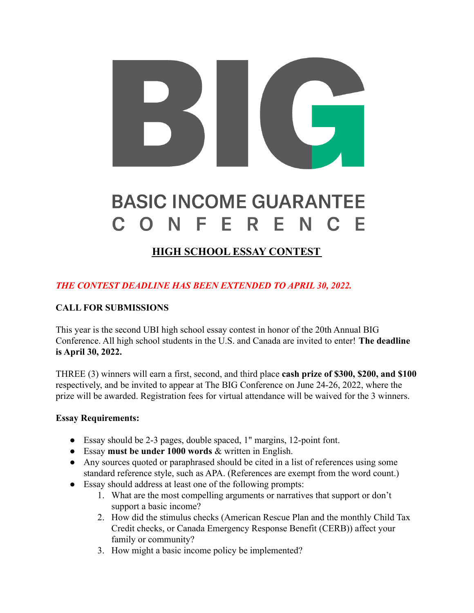# **BASIC INCOME GUARANTEE** ONFERENC  $\mathbf C$

## **HIGH SCHOOL ESSAY CONTEST**

### *THE CONTEST DEADLINE HAS BEEN EXTENDED TO APRIL 30, 2022.*

#### **CALL FOR SUBMISSIONS**

This year is the second UBI high school essay contest in honor of the 20th Annual BIG Conference. All high school students in the U.S. and Canada are invited to enter! **The deadline is April 30, 2022.**

THREE (3) winners will earn a first, second, and third place **cash prize of \$300, \$200, and \$100** respectively, and be invited to appear at The BIG Conference on June 24-26, 2022, where the prize will be awarded. Registration fees for virtual attendance will be waived for the 3 winners.

#### **Essay Requirements:**

- Essay should be 2-3 pages, double spaced, 1" margins, 12-point font.
- Essay **must be under 1000 words** & written in English.
- Any sources quoted or paraphrased should be cited in a list of references using some standard reference style, such as APA. (References are exempt from the word count.)
- Essay should address at least one of the following prompts:
	- 1. What are the most compelling arguments or narratives that support or don't support a basic income?
	- 2. How did the stimulus checks (American Rescue Plan and the monthly Child Tax Credit checks, or Canada Emergency Response Benefit (CERB)) affect your family or community?
	- 3. How might a basic income policy be implemented?